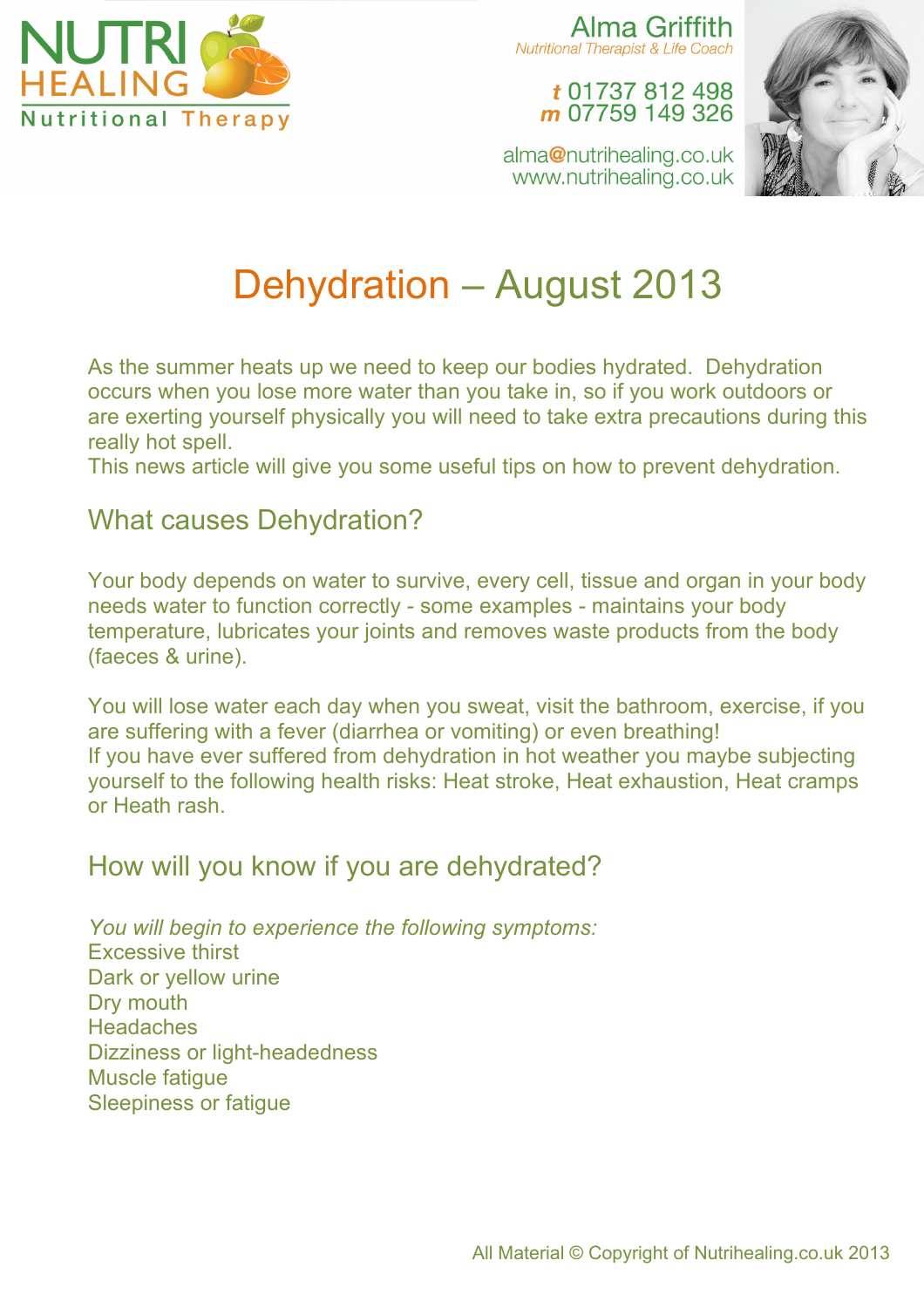

Alma Griffith **Nutritional Therapist & Life Coach** 

#### t 01737 812 498 m 07759 149 326



alma@nutrihealing.co.uk www.nutrihealing.co.uk

# Dehydration – August 2013

As the summer heats up we need to keep our bodies hydrated. Dehydration occurs when you lose more water than you take in, so if you work outdoors or are exerting yourself physically you will need to take extra precautions during this really hot spell.

This news article will give you some useful tips on how to prevent dehydration.

#### What causes Dehydration?

Your body depends on water to survive, every cell, tissue and organ in your body needs water to function correctly - some examples - maintains your body temperature, lubricates your joints and removes waste products from the body (faeces & urine).

You will lose water each day when you sweat, visit the bathroom, exercise, if you are suffering with a fever (diarrhea or vomiting) or even breathing! If you have ever suffered from dehydration in hot weather you maybe subjecting yourself to the following health risks: Heat stroke, Heat exhaustion, Heat cramps or Heath rash.

### How will you know if you are dehydrated?

*You will begin to experience the following symptoms:* Excessive thirst Dark or yellow urine Dry mouth **Headaches** Dizziness or light-headedness Muscle fatigue Sleepiness or fatigue